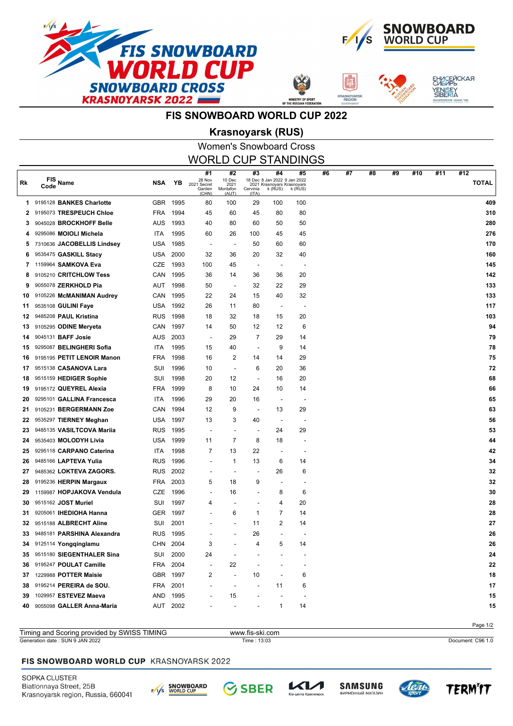



**ASNOYA** 



# **FIS SNOWBOARD WORLD CUP 2022**

## Women's Snowboard Cross **Krasnoyarsk (RUS)**

| <b>WORLD CUP STANDINGS</b> |                               |            |          |                                                |                                           |                          |                                                                             |                          |    |    |    |    |     |     |                     |
|----------------------------|-------------------------------|------------|----------|------------------------------------------------|-------------------------------------------|--------------------------|-----------------------------------------------------------------------------|--------------------------|----|----|----|----|-----|-----|---------------------|
| Rk                         | FIS Name<br>Code              | NSA        | ΥB       | #1<br>28 Nov<br>2021 Secret<br>Garden<br>(CHN) | #2<br>10 Dec<br>2021<br>Montafon<br>(AUT) | #3<br>Cervinia<br>(ITA)  | #4<br>18 Dec 8 Jan 2022 9 Jan 2022<br>2021 Krasnoyars Krasnoyars<br>k (RUS) | #5<br>k (RUS)            | #6 | #7 | #8 | #9 | #10 | #11 | #12<br><b>TOTAL</b> |
| 1.                         | 9195128 BANKES Charlotte      |            | GBR 1995 | 80                                             | 100                                       | 29                       | 100                                                                         | 100                      |    |    |    |    |     |     | 409                 |
| 2                          | 9195073 TRESPEUCH Chloe       | FRA        | 1994     | 45                                             | 60                                        | 45                       | 80                                                                          | 80                       |    |    |    |    |     |     | 310                 |
| 3                          | 9045028 BROCKHOFF Belle       | AUS        | 1993     | 40                                             | 80                                        | 60                       | 50                                                                          | 50                       |    |    |    |    |     |     | 280                 |
| 4                          | 9295086 MOIOLI Michela        | ITA        | 1995     | 60                                             | 26                                        | 100                      | 45                                                                          | 45                       |    |    |    |    |     |     | 276                 |
| 5                          | 7310636 JACOBELLIS Lindsey    | USA        | 1985     | $\overline{\phantom{a}}$                       | $\overline{\phantom{a}}$                  | 50                       | 60                                                                          | 60                       |    |    |    |    |     |     | 170                 |
| 6                          | 9535475 GASKILL Stacy         | USA        | 2000     | 32                                             | 36                                        | 20                       | 32                                                                          | 40                       |    |    |    |    |     |     | 160                 |
| 7                          | 1159964 SAMKOVA Eva           | CZE        | 1993     | 100                                            | 45                                        | $\overline{\phantom{a}}$ | $\overline{\phantom{a}}$                                                    |                          |    |    |    |    |     |     | 145                 |
| 8                          | 9105210 CRITCHLOW Tess        | CAN        | 1995     | 36                                             | 14                                        | 36                       | 36                                                                          | 20                       |    |    |    |    |     |     | 142                 |
| 9                          | 9055078 ZERKHOLD Pia          | AUT        | 1998     | 50                                             | $\overline{\phantom{a}}$                  | 32                       | 22                                                                          | 29                       |    |    |    |    |     |     | 133                 |
| 10                         | 9105226 McMANIMAN Audrey      | CAN        | 1995     | 22                                             | 24                                        | 15                       | 40                                                                          | 32                       |    |    |    |    |     |     | 133                 |
| 11                         | 9535108 GULINI Faye           | USA        | 1992     | 26                                             | 11                                        | 80                       | $\overline{\phantom{a}}$                                                    |                          |    |    |    |    |     |     | 117                 |
| 12                         | 9485208 PAUL Kristina         | <b>RUS</b> | 1998     | 18                                             | 32                                        | 18                       | 15                                                                          | 20                       |    |    |    |    |     |     | 103                 |
| 13                         | 9105295 ODINE Meryeta         | CAN        | 1997     | 14                                             | 50                                        | 12                       | 12                                                                          | 6                        |    |    |    |    |     |     | 94                  |
| 14                         | 9045131 BAFF Josie            | AUS        | 2003     | $\blacksquare$                                 | 29                                        | 7                        | 29                                                                          | 14                       |    |    |    |    |     |     | 79                  |
| 15                         | 9295087 BELINGHERI Sofia      | ITA        | 1995     | 15                                             | 40                                        | $\overline{a}$           | 9                                                                           | 14                       |    |    |    |    |     |     | 78                  |
| 16                         | 9195195 PETIT LENOIR Manon    | <b>FRA</b> | 1998     | 16                                             | $\overline{2}$                            | 14                       | 14                                                                          | 29                       |    |    |    |    |     |     | 75                  |
| 17                         | 9515138 CASANOVA Lara         | SUI        | 1996     | 10                                             | $\overline{\phantom{a}}$                  | 6                        | 20                                                                          | 36                       |    |    |    |    |     |     | 72                  |
| 18                         | 9515159 HEDIGER Sophie        | SUI        | 1998     | 20                                             | 12                                        | $\overline{\phantom{a}}$ | 16                                                                          | 20                       |    |    |    |    |     |     | 68                  |
| 19                         | 9195172 QUEYREL Alexia        | <b>FRA</b> | 1999     | 8                                              | 10                                        | 24                       | 10                                                                          | 14                       |    |    |    |    |     |     | 66                  |
| 20                         | 9295101 GALLINA Francesca     | ITA        | 1996     | 29                                             | 20                                        | 16                       | $\overline{\phantom{a}}$                                                    |                          |    |    |    |    |     |     | 65                  |
| 21                         | 9105231 BERGERMANN Zoe        | CAN        | 1994     | 12                                             | 9                                         | $\overline{\phantom{a}}$ | 13                                                                          | 29                       |    |    |    |    |     |     | 63                  |
| 22                         | 9535297 TIERNEY Meghan        | USA        | 1997     | 13                                             | 3                                         | 40                       | $\overline{\phantom{a}}$                                                    | $\overline{\phantom{a}}$ |    |    |    |    |     |     | 56                  |
| 23                         | 9485135 VASILTCOVA Mariia     | <b>RUS</b> | 1995     | $\blacksquare$                                 |                                           | $\overline{\phantom{a}}$ | 24                                                                          | 29                       |    |    |    |    |     |     | 53                  |
| 24                         | 9535403 MOLODYH Livia         | USA        | 1999     | 11                                             | 7                                         | 8                        | 18                                                                          |                          |    |    |    |    |     |     | 44                  |
| 25                         | 9295118 CARPANO Caterina      | ITA        | 1998     | 7                                              | 13                                        | 22                       | $\overline{\phantom{a}}$                                                    |                          |    |    |    |    |     |     | 42                  |
| 26                         | 9485166 LAPTEVA Yulia         | <b>RUS</b> | 1996     | $\blacksquare$                                 | $\mathbf{1}$                              | 13                       | 6                                                                           | 14                       |    |    |    |    |     |     | 34                  |
| 27                         | 9485362 LOKTEVA ZAGORS.       | <b>RUS</b> | 2002     | $\overline{\phantom{a}}$                       |                                           | $\overline{a}$           | 26                                                                          | 6                        |    |    |    |    |     |     | 32                  |
| 28                         | 9195236 HERPIN Margaux        | FRA        | 2003     | 5                                              | 18                                        | 9                        | $\blacksquare$                                                              |                          |    |    |    |    |     |     | 32                  |
| 29                         | 1159987 HOPJAKOVA Vendula     | CZE        | 1996     | $\overline{\phantom{a}}$                       | 16                                        | $\overline{a}$           | 8                                                                           | 6                        |    |    |    |    |     |     | 30                  |
| 30                         | 9515162 JOST Muriel           | SUI        | 1997     | 4                                              |                                           |                          | 4                                                                           | 20                       |    |    |    |    |     |     | 28                  |
| 31                         | 9205061 <b>IHEDIOHA Hanna</b> | <b>GER</b> | 1997     |                                                | 6                                         | 1                        | 7                                                                           | 14                       |    |    |    |    |     |     | 28                  |
| 32                         | 9515188 ALBRECHT Aline        | SUI        | 2001     |                                                |                                           | 11                       | 2                                                                           | 14                       |    |    |    |    |     |     | 27                  |
| 33                         | 9485181 PARSHINA Alexandra    | <b>RUS</b> | 1995     |                                                |                                           | 26                       |                                                                             |                          |    |    |    |    |     |     | 26                  |
| 34                         | 9125114 Yongqinglamu          |            | CHN 2004 | 3                                              |                                           | 4                        | 5                                                                           | 14                       |    |    |    |    |     |     | 26                  |
| 35                         | 9515180 SIEGENTHALER Sina     | SUI        | 2000     | 24                                             |                                           |                          |                                                                             |                          |    |    |    |    |     |     | 24                  |
| 36                         | 9195247 POULAT Camille        | FRA        | 2004     |                                                | 22                                        |                          |                                                                             |                          |    |    |    |    |     |     | 22                  |
| 37                         | 1229988 POTTER Maisie         |            | GBR 1997 | 2                                              |                                           | 10                       |                                                                             | 6                        |    |    |    |    |     |     | 18                  |
| 38                         | 9195214 PEREIRA de SOU.       | FRA        | 2001     |                                                |                                           |                          | 11                                                                          | 6                        |    |    |    |    |     |     | 17                  |
| 39                         | 1029957 ESTEVEZ Maeva         | AND        | 1995     |                                                | 15                                        |                          |                                                                             |                          |    |    |    |    |     |     | 15                  |
| 40                         | 9055098 GALLER Anna-Maria     |            | AUT 2002 |                                                |                                           |                          | 1                                                                           | 14                       |    |    |    |    |     |     | 15                  |
|                            |                               |            |          |                                                |                                           |                          |                                                                             |                          |    |    |    |    |     |     |                     |

#### Page 1/2 Generation date : SUN 9 JAN 2022 Time : 13:03 Document: C96 1.0 Timing and Scoring provided by SWISS TIMING www.fis-ski.com

#### FIS SNOWBOARD WORLD CUP KRASNOYARSK 2022

SOPKA CLUSTER Biatlonnaya Street, 25B Krasnoyarsk region, Russia, 660041



**SBER** 



レイノ

тр Красн